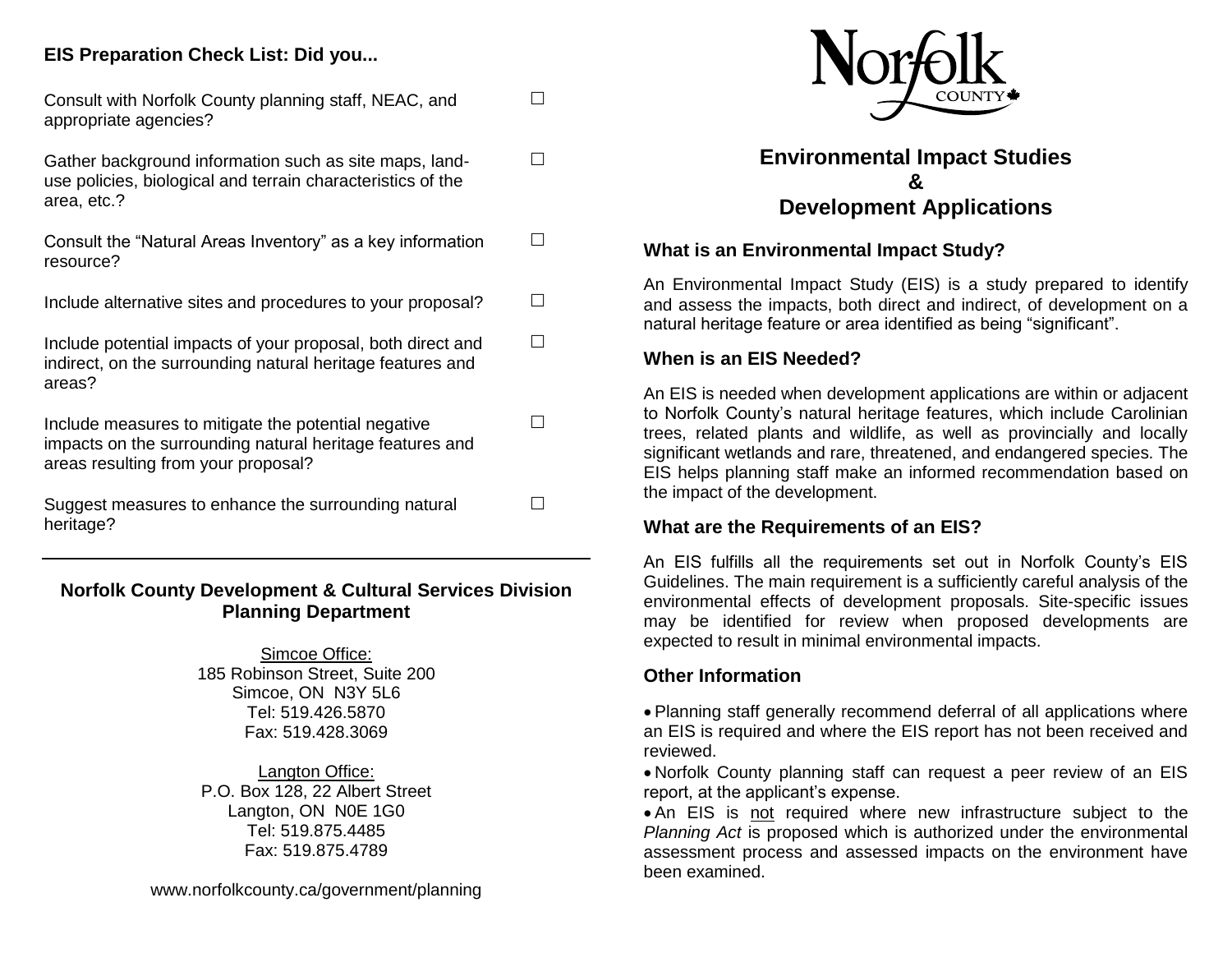## **EIS Preparation Check List: Did you...**

| Consult with Norfolk County planning staff, NEAC, and<br>appropriate agencies?                                                                         |  |
|--------------------------------------------------------------------------------------------------------------------------------------------------------|--|
| Gather background information such as site maps, land-<br>use policies, biological and terrain characteristics of the<br>area, etc.?                   |  |
| Consult the "Natural Areas Inventory" as a key information<br>resource?                                                                                |  |
| Include alternative sites and procedures to your proposal?                                                                                             |  |
| Include potential impacts of your proposal, both direct and<br>indirect, on the surrounding natural heritage features and<br>areas?                    |  |
| Include measures to mitigate the potential negative<br>impacts on the surrounding natural heritage features and<br>areas resulting from your proposal? |  |
| Suggest measures to enhance the surrounding natural<br>heritage?                                                                                       |  |

## **Norfolk County Development & Cultural Services Division Planning Department**

Simcoe Office: 185 Robinson Street, Suite 200 Simcoe, ON N3Y 5L6 Tel: 519.426.5870 Fax: 519.428.3069

Langton Office: P.O. Box 128, 22 Albert Street Langton, ON N0E 1G0 Tel: 519.875.4485 Fax: 519.875.4789



# **Environmental Impact Studies & Development Applications**

### **What is an Environmental Impact Study?**

An Environmental Impact Study (EIS) is a study prepared to identify and assess the impacts, both direct and indirect, of development on a natural heritage feature or area identified as being "significant".

#### **When is an EIS Needed?**

An EIS is needed when development applications are within or adjacent to Norfolk County's natural heritage features, which include Carolinian trees, related plants and wildlife, as well as provincially and locally significant wetlands and rare, threatened, and endangered species. The EIS helps planning staff make an informed recommendation based on the impact of the development.

#### **What are the Requirements of an EIS?**

An EIS fulfills all the requirements set out in Norfolk County's EIS Guidelines. The main requirement is a sufficiently careful analysis of the environmental effects of development proposals. Site-specific issues may be identified for review when proposed developments are expected to result in minimal environmental impacts.

## **Other Information**

 Planning staff generally recommend deferral of all applications where an EIS is required and where the EIS report has not been received and reviewed.

 Norfolk County planning staff can request a peer review of an EIS report, at the applicant's expense.

 An EIS is not required where new infrastructure subject to the *Planning Act* is proposed which is authorized under the environmental assessment process and assessed impacts on the environment have been examined.